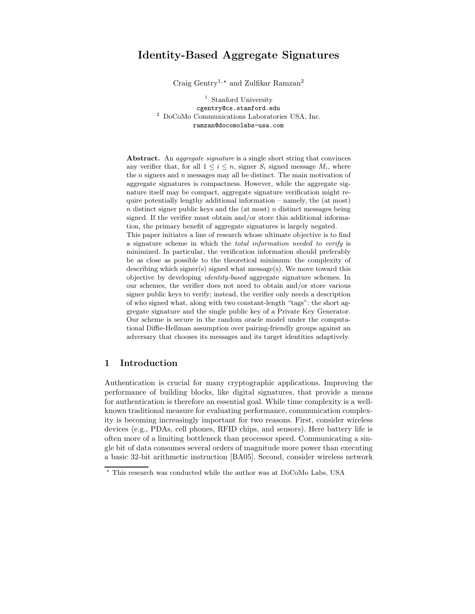# Identity-Based Aggregate Signatures

Craig Gentry<sup>1,\*</sup> and Zulfikar Ramzan<sup>2</sup>

<sup>1</sup> Stanford University cgentry@cs.stanford.edu <sup>2</sup> DoCoMo Communications Laboratories USA, Inc. ramzan@docomolabs-usa.com

Abstract. An *aggregate signature* is a single short string that convinces any verifier that, for all  $1 \leq i \leq n$ , signer  $S_i$  signed message  $M_i$ , where the  $n$  signers and  $n$  messages may all be distinct. The main motivation of aggregate signatures is compactness. However, while the aggregate signature itself may be compact, aggregate signature verification might require potentially lengthy additional information – namely, the (at most)  $n$  distinct signer public keys and the (at most)  $n$  distinct messages being signed. If the verifier must obtain and/or store this additional information, the primary benefit of aggregate signatures is largely negated.

This paper initiates a line of research whose ultimate objective is to find a signature scheme in which the total information needed to verify is minimized. In particular, the verification information should preferably be as close as possible to the theoretical minimum: the complexity of describing which signer(s) signed what message(s). We move toward this objective by developing identity-based aggregate signature schemes. In our schemes, the verifier does not need to obtain and/or store various signer public keys to verify; instead, the verifier only needs a description of who signed what, along with two constant-length "tags": the short aggregate signature and the single public key of a Private Key Generator. Our scheme is secure in the random oracle model under the computational Diffie-Hellman assumption over pairing-friendly groups against an adversary that chooses its messages and its target identities adaptively.

## 1 Introduction

Authentication is crucial for many cryptographic applications. Improving the performance of building blocks, like digital signatures, that provide a means for authentication is therefore an essential goal. While time complexity is a wellknown traditional measure for evaluating performance, communication complexity is becoming increasingly important for two reasons. First, consider wireless devices (e.g., PDAs, cell phones, RFID chips, and sensors). Here battery life is often more of a limiting bottleneck than processor speed. Communicating a single bit of data consumes several orders of magnitude more power than executing a basic 32-bit arithmetic instruction [BA05]. Second, consider wireless network

<sup>?</sup> This research was conducted while the author was at DoCoMo Labs, USA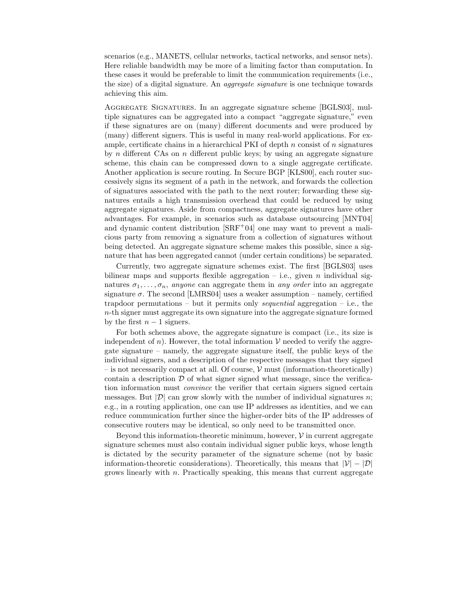scenarios (e.g., MANETS, cellular networks, tactical networks, and sensor nets). Here reliable bandwidth may be more of a limiting factor than computation. In these cases it would be preferable to limit the communication requirements (i.e., the size) of a digital signature. An aggregate signature is one technique towards achieving this aim.

Aggregate Signatures. In an aggregate signature scheme [BGLS03], multiple signatures can be aggregated into a compact "aggregate signature," even if these signatures are on (many) different documents and were produced by (many) different signers. This is useful in many real-world applications. For example, certificate chains in a hierarchical PKI of depth  $n$  consist of  $n$  signatures by  $n$  different CAs on  $n$  different public keys; by using an aggregate signature scheme, this chain can be compressed down to a single aggregate certificate. Another application is secure routing. In Secure BGP [KLS00], each router successively signs its segment of a path in the network, and forwards the collection of signatures associated with the path to the next router; forwarding these signatures entails a high transmission overhead that could be reduced by using aggregate signatures. Aside from compactness, aggregate signatures have other advantages. For example, in scenarios such as database outsourcing [MNT04] and dynamic content distribution  $\left[\text{SRF}^+\text{04}\right]$  one may want to prevent a malicious party from removing a signature from a collection of signatures without being detected. An aggregate signature scheme makes this possible, since a signature that has been aggregated cannot (under certain conditions) be separated.

Currently, two aggregate signature schemes exist. The first [BGLS03] uses bilinear maps and supports flexible aggregation – i.e., given n individual signatures  $\sigma_1, \ldots, \sigma_n$ , anyone can aggregate them in any order into an aggregate signature  $\sigma$ . The second [LMRS04] uses a weaker assumption – namely, certified trapdoor permutations – but it permits only *sequential* aggregation – i.e., the n-th signer must aggregate its own signature into the aggregate signature formed by the first  $n-1$  signers.

For both schemes above, the aggregate signature is compact (i.e., its size is independent of n). However, the total information  $V$  needed to verify the aggregate signature – namely, the aggregate signature itself, the public keys of the individual signers, and a description of the respective messages that they signed – is not necessarily compact at all. Of course,  $\mathcal V$  must (information-theoretically) contain a description  $D$  of what signer signed what message, since the verification information must convince the verifier that certain signers signed certain messages. But  $|\mathcal{D}|$  can grow slowly with the number of individual signatures n; e.g., in a routing application, one can use IP addresses as identities, and we can reduce communication further since the higher-order bits of the IP addresses of consecutive routers may be identical, so only need to be transmitted once.

Beyond this information-theoretic minimum, however,  $V$  in current aggregate signature schemes must also contain individual signer public keys, whose length is dictated by the security parameter of the signature scheme (not by basic information-theoretic considerations). Theoretically, this means that  $|\mathcal{V}| - |\mathcal{D}|$ grows linearly with n. Practically speaking, this means that current aggregate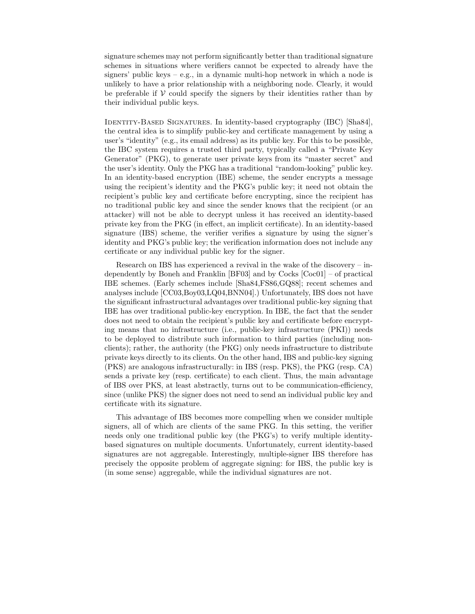signature schemes may not perform significantly better than traditional signature schemes in situations where verifiers cannot be expected to already have the signers' public keys – e.g., in a dynamic multi-hop network in which a node is unlikely to have a prior relationship with a neighboring node. Clearly, it would be preferable if  $V$  could specify the signers by their identities rather than by their individual public keys.

Identity-Based Signatures. In identity-based cryptography (IBC) [Sha84], the central idea is to simplify public-key and certificate management by using a user's "identity" (e.g., its email address) as its public key. For this to be possible, the IBC system requires a trusted third party, typically called a "Private Key Generator" (PKG), to generate user private keys from its "master secret" and the user's identity. Only the PKG has a traditional "random-looking" public key. In an identity-based encryption (IBE) scheme, the sender encrypts a message using the recipient's identity and the PKG's public key; it need not obtain the recipient's public key and certificate before encrypting, since the recipient has no traditional public key and since the sender knows that the recipient (or an attacker) will not be able to decrypt unless it has received an identity-based private key from the PKG (in effect, an implicit certificate). In an identity-based signature (IBS) scheme, the verifier verifies a signature by using the signer's identity and PKG's public key; the verification information does not include any certificate or any individual public key for the signer.

Research on IBS has experienced a revival in the wake of the discovery – independently by Boneh and Franklin [BF03] and by Cocks [Coc01] – of practical IBE schemes. (Early schemes include [Sha84,FS86,GQ88]; recent schemes and analyses include [CC03,Boy03,LQ04,BNN04].) Unfortunately, IBS does not have the significant infrastructural advantages over traditional public-key signing that IBE has over traditional public-key encryption. In IBE, the fact that the sender does not need to obtain the recipient's public key and certificate before encrypting means that no infrastructure (i.e., public-key infrastructure (PKI)) needs to be deployed to distribute such information to third parties (including nonclients); rather, the authority (the PKG) only needs infrastructure to distribute private keys directly to its clients. On the other hand, IBS and public-key signing (PKS) are analogous infrastructurally: in IBS (resp. PKS), the PKG (resp. CA) sends a private key (resp. certificate) to each client. Thus, the main advantage of IBS over PKS, at least abstractly, turns out to be communication-efficiency, since (unlike PKS) the signer does not need to send an individual public key and certificate with its signature.

This advantage of IBS becomes more compelling when we consider multiple signers, all of which are clients of the same PKG. In this setting, the verifier needs only one traditional public key (the PKG's) to verify multiple identitybased signatures on multiple documents. Unfortunately, current identity-based signatures are not aggregable. Interestingly, multiple-signer IBS therefore has precisely the opposite problem of aggregate signing: for IBS, the public key is (in some sense) aggregable, while the individual signatures are not.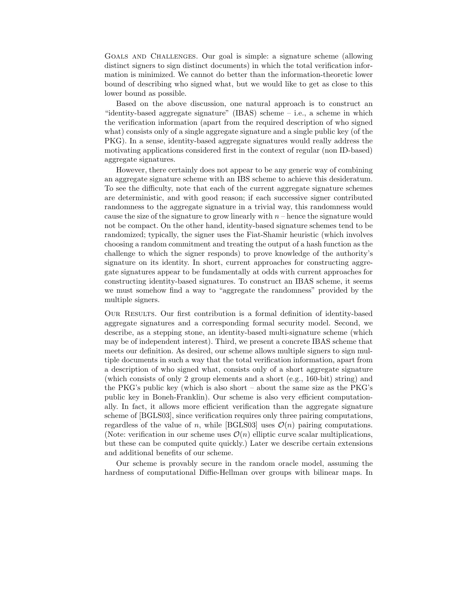Goals and Challenges. Our goal is simple: a signature scheme (allowing distinct signers to sign distinct documents) in which the total verification information is minimized. We cannot do better than the information-theoretic lower bound of describing who signed what, but we would like to get as close to this lower bound as possible.

Based on the above discussion, one natural approach is to construct an "identity-based aggregate signature" (IBAS) scheme – i.e., a scheme in which the verification information (apart from the required description of who signed what) consists only of a single aggregate signature and a single public key (of the PKG). In a sense, identity-based aggregate signatures would really address the motivating applications considered first in the context of regular (non ID-based) aggregate signatures.

However, there certainly does not appear to be any generic way of combining an aggregate signature scheme with an IBS scheme to achieve this desideratum. To see the difficulty, note that each of the current aggregate signature schemes are deterministic, and with good reason; if each successive signer contributed randomness to the aggregate signature in a trivial way, this randomness would cause the size of the signature to grow linearly with  $n-$  hence the signature would not be compact. On the other hand, identity-based signature schemes tend to be randomized; typically, the signer uses the Fiat-Shamir heuristic (which involves choosing a random commitment and treating the output of a hash function as the challenge to which the signer responds) to prove knowledge of the authority's signature on its identity. In short, current approaches for constructing aggregate signatures appear to be fundamentally at odds with current approaches for constructing identity-based signatures. To construct an IBAS scheme, it seems we must somehow find a way to "aggregate the randomness" provided by the multiple signers.

OUR RESULTS. Our first contribution is a formal definition of identity-based aggregate signatures and a corresponding formal security model. Second, we describe, as a stepping stone, an identity-based multi-signature scheme (which may be of independent interest). Third, we present a concrete IBAS scheme that meets our definition. As desired, our scheme allows multiple signers to sign multiple documents in such a way that the total verification information, apart from a description of who signed what, consists only of a short aggregate signature (which consists of only 2 group elements and a short (e.g., 160-bit) string) and the PKG's public key (which is also short – about the same size as the PKG's public key in Boneh-Franklin). Our scheme is also very efficient computationally. In fact, it allows more efficient verification than the aggregate signature scheme of [BGLS03], since verification requires only three pairing computations, regardless of the value of n, while [BGLS03] uses  $\mathcal{O}(n)$  pairing computations. (Note: verification in our scheme uses  $\mathcal{O}(n)$  elliptic curve scalar multiplications, but these can be computed quite quickly.) Later we describe certain extensions and additional benefits of our scheme.

Our scheme is provably secure in the random oracle model, assuming the hardness of computational Diffie-Hellman over groups with bilinear maps. In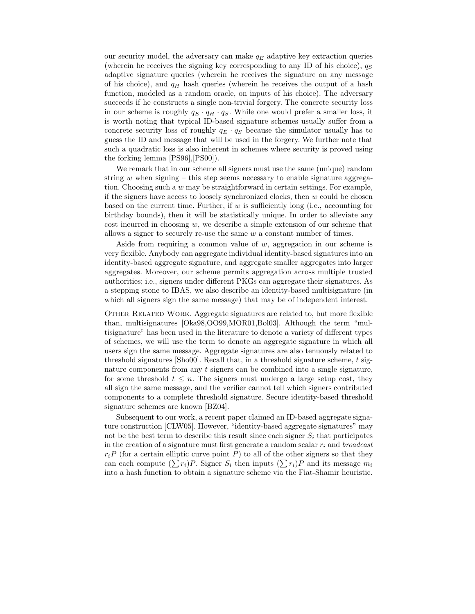our security model, the adversary can make  $q_E$  adaptive key extraction queries (wherein he receives the signing key corresponding to any ID of his choice),  $q<sub>S</sub>$ adaptive signature queries (wherein he receives the signature on any message of his choice), and  $q_H$  hash queries (wherein he receives the output of a hash function, modeled as a random oracle, on inputs of his choice). The adversary succeeds if he constructs a single non-trivial forgery. The concrete security loss in our scheme is roughly  $q_E \cdot q_H \cdot q_S$ . While one would prefer a smaller loss, it is worth noting that typical ID-based signature schemes usually suffer from a concrete security loss of roughly  $q_E \cdot q_S$  because the simulator usually has to guess the ID and message that will be used in the forgery. We further note that such a quadratic loss is also inherent in schemes where security is proved using the forking lemma [PS96],[PS00]).

We remark that in our scheme all signers must use the same (unique) random string  $w$  when signing – this step seems necessary to enable signature aggregation. Choosing such a  $w$  may be straightforward in certain settings. For example, if the signers have access to loosely synchronized clocks, then  $w$  could be chosen based on the current time. Further, if  $w$  is sufficiently long (i.e., accounting for birthday bounds), then it will be statistically unique. In order to alleviate any cost incurred in choosing w, we describe a simple extension of our scheme that allows a signer to securely re-use the same  $w$  a constant number of times.

Aside from requiring a common value of  $w$ , aggregation in our scheme is very flexible. Anybody can aggregate individual identity-based signatures into an identity-based aggregate signature, and aggregate smaller aggregates into larger aggregates. Moreover, our scheme permits aggregation across multiple trusted authorities; i.e., signers under different PKGs can aggregate their signatures. As a stepping stone to IBAS, we also describe an identity-based multisignature (in which all signers sign the same message) that may be of independent interest.

Other Related Work. Aggregate signatures are related to, but more flexible than, multisignatures [Oka98,OO99,MOR01,Bol03]. Although the term "multisignature" has been used in the literature to denote a variety of different types of schemes, we will use the term to denote an aggregate signature in which all users sign the same message. Aggregate signatures are also tenuously related to threshold signatures [Sho00]. Recall that, in a threshold signature scheme, t signature components from any  $t$  signers can be combined into a single signature, for some threshold  $t \leq n$ . The signers must undergo a large setup cost, they all sign the same message, and the verifier cannot tell which signers contributed components to a complete threshold signature. Secure identity-based threshold signature schemes are known [BZ04].

Subsequent to our work, a recent paper claimed an ID-based aggregate signature construction [CLW05]. However, "identity-based aggregate signatures" may not be the best term to describe this result since each signer  $S_i$  that participates in the creation of a signature must first generate a random scalar  $r_i$  and broadcast  $r_iP$  (for a certain elliptic curve point P) to all of the other signers so that they can each compute  $(\sum r_i)P$ . Signer  $S_i$  then inputs  $(\sum r_i)P$  and its message  $m_i$ into a hash function to obtain a signature scheme via the Fiat-Shamir heuristic.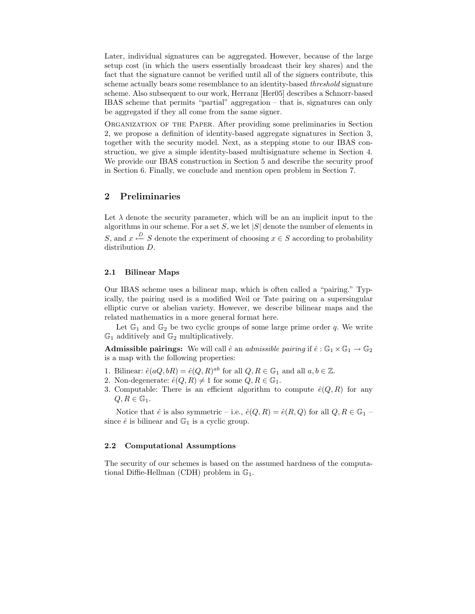Later, individual signatures can be aggregated. However, because of the large setup cost (in which the users essentially broadcast their key shares) and the fact that the signature cannot be verified until all of the signers contribute, this scheme actually bears some resemblance to an identity-based threshold signature scheme. Also subsequent to our work, Herranz [Her05] describes a Schnorr-based IBAS scheme that permits "partial" aggregation – that is, signatures can only be aggregated if they all come from the same signer.

Organization of the Paper. After providing some preliminaries in Section 2, we propose a definition of identity-based aggregate signatures in Section 3, together with the security model. Next, as a stepping stone to our IBAS construction, we give a simple identity-based multisignature scheme in Section 4. We provide our IBAS construction in Section 5 and describe the security proof in Section 6. Finally, we conclude and mention open problem in Section 7.

### 2 Preliminaries

Let  $\lambda$  denote the security parameter, which will be an an implicit input to the algorithms in our scheme. For a set  $S$ , we let  $|S|$  denote the number of elements in S, and  $x \stackrel{D}{\leftarrow} S$  denote the experiment of choosing  $x \in S$  according to probability distribution D.

#### 2.1 Bilinear Maps

Our IBAS scheme uses a bilinear map, which is often called a "pairing." Typically, the pairing used is a modified Weil or Tate pairing on a supersingular elliptic curve or abelian variety. However, we describe bilinear maps and the related mathematics in a more general format here.

Let  $\mathbb{G}_1$  and  $\mathbb{G}_2$  be two cyclic groups of some large prime order q. We write  $\mathbb{G}_1$  additively and  $\mathbb{G}_2$  multiplicatively.

**Admissible pairings:** We will call  $\hat{e}$  an *admissible pairing* if  $\hat{e}: \mathbb{G}_1 \times \mathbb{G}_1 \to \mathbb{G}_2$ is a map with the following properties:

- 1. Bilinear:  $\hat{e}(aQ, bR) = \hat{e}(Q, R)^{ab}$  for all  $Q, R \in \mathbb{G}_1$  and all  $a, b \in \mathbb{Z}$ .
- 2. Non-degenerate:  $\hat{e}(Q, R) \neq 1$  for some  $Q, R \in \mathbb{G}_1$ .
- 3. Computable: There is an efficient algorithm to compute  $\hat{e}(Q, R)$  for any  $Q, R \in \mathbb{G}_1$ .

Notice that  $\hat{e}$  is also symmetric – i.e.,  $\hat{e}(Q, R) = \hat{e}(R, Q)$  for all  $Q, R \in \mathbb{G}_1$  – since  $\hat{e}$  is bilinear and  $\mathbb{G}_1$  is a cyclic group.

### 2.2 Computational Assumptions

The security of our schemes is based on the assumed hardness of the computational Diffie-Hellman (CDH) problem in  $\mathbb{G}_1$ .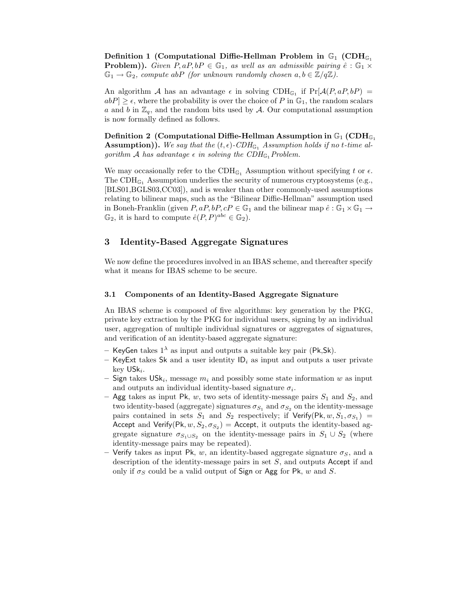Definition 1 (Computational Diffie-Hellman Problem in  $\mathbb{G}_1$  (CDH $_{\mathbb{G}_1}$ **Problem)).** Given  $P, aP, bP \in \mathbb{G}_1$ , as well as an admissible pairing  $\hat{e}: \mathbb{G}_1 \times$  $\mathbb{G}_1 \rightarrow \mathbb{G}_2$ , compute abP (for unknown randomly chosen  $a, b \in \mathbb{Z}/q\mathbb{Z}$ ).

An algorithm A has an advantage  $\epsilon$  in solving CDH<sub>G<sub>1</sub></sub> if  $Pr[\mathcal{A}(P, aP, bP)] =$  $abP] \geq \epsilon$ , where the probability is over the choice of P in  $\mathbb{G}_1$ , the random scalars a and b in  $\mathbb{Z}_q$ , and the random bits used by A. Our computational assumption is now formally defined as follows.

Definition 2 (Computational Diffie-Hellman Assumption in  $\mathbb{G}_1$  (CDH $_{\mathbb{G}_1}$ **Assumption)).** We say that the  $(t, \epsilon)$ -CDH<sub>G<sub>1</sub></sub> Assumption holds if no t-time algorithm A has advantage  $\epsilon$  in solving the CDH<sub>G<sub>1</sub></sub> Problem.

We may occasionally refer to the CDH<sub>G<sub>1</sub></sub> Assumption without specifying t or  $\epsilon$ . The CDH $_{G_1}$  Assumption underlies the security of numerous cryptosystems (e.g., [BLS01,BGLS03,CC03]), and is weaker than other commonly-used assumptions relating to bilinear maps, such as the "Bilinear Diffie-Hellman" assumption used in Boneh-Franklin (given  $P, aP, bP, cP \in \mathbb{G}_1$  and the bilinear map  $\hat{e}: \mathbb{G}_1 \times \mathbb{G}_1 \to$  $\mathbb{G}_2$ , it is hard to compute  $\hat{e}(P, P)^{abc} \in \mathbb{G}_2$ .

## 3 Identity-Based Aggregate Signatures

We now define the procedures involved in an IBAS scheme, and thereafter specify what it means for IBAS scheme to be secure.

#### 3.1 Components of an Identity-Based Aggregate Signature

An IBAS scheme is composed of five algorithms: key generation by the PKG, private key extraction by the PKG for individual users, signing by an individual user, aggregation of multiple individual signatures or aggregates of signatures, and verification of an identity-based aggregate signature:

- KeyGen takes  $1^{\lambda}$  as input and outputs a suitable key pair (Pk, Sk).
- KeyExt takes Sk and a user identity  $ID_i$  as input and outputs a user private  $key$  US $k_i$ .
- Sign takes  $USk_i$ , message  $m_i$  and possibly some state information w as input and outputs an individual identity-based signature  $\sigma_i$ .
- Agg takes as input Pk, w, two sets of identity-message pairs  $S_1$  and  $S_2$ , and two identity-based (aggregate) signatures  $\sigma_{S_1}$  and  $\sigma_{S_2}$  on the identity-message pairs contained in sets  $S_1$  and  $S_2$  respectively; if Verify(Pk,  $w, S_1, \sigma_{S_1}$ ) = Accept and Verify(Pk,  $w, S_2, \sigma_{S_2}$ ) = Accept, it outputs the identity-based aggregate signature  $\sigma_{S_1\cup S_2}$  on the identity-message pairs in  $S_1\cup S_2$  (where identity-message pairs may be repeated).
- Verify takes as input Pk, w, an identity-based aggregate signature  $\sigma_S$ , and a description of the identity-message pairs in set S, and outputs Accept if and only if  $\sigma_S$  could be a valid output of Sign or Agg for Pk, w and S.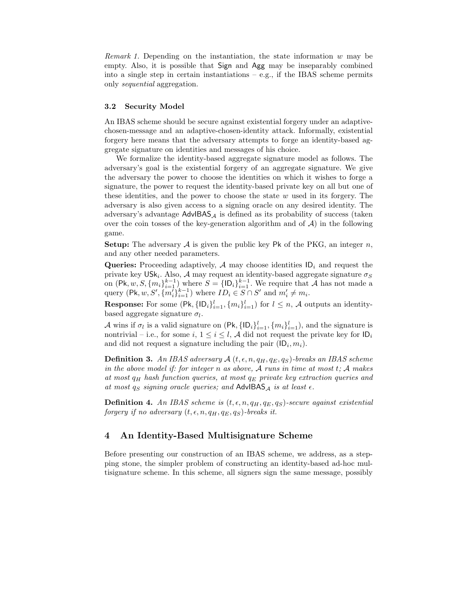*Remark 1.* Depending on the instantiation, the state information  $w$  may be empty. Also, it is possible that Sign and Agg may be inseparably combined into a single step in certain instantiations  $-$  e.g., if the IBAS scheme permits only sequential aggregation.

#### 3.2 Security Model

An IBAS scheme should be secure against existential forgery under an adaptivechosen-message and an adaptive-chosen-identity attack. Informally, existential forgery here means that the adversary attempts to forge an identity-based aggregate signature on identities and messages of his choice.

We formalize the identity-based aggregate signature model as follows. The adversary's goal is the existential forgery of an aggregate signature. We give the adversary the power to choose the identities on which it wishes to forge a signature, the power to request the identity-based private key on all but one of these identities, and the power to choose the state  $w$  used in its forgery. The adversary is also given access to a signing oracle on any desired identity. The adversary's advantage  $AdvIBAS_{\mathcal{A}}$  is defined as its probability of success (taken over the coin tosses of the key-generation algorithm and of  $A$ ) in the following game.

**Setup:** The adversary A is given the public key Pk of the PKG, an integer  $n$ , and any other needed parameters.

Queries: Proceeding adaptively,  $A$  may choose identities  $ID_i$  and request the private key US $\mathsf{k}_i$ . Also,  $\mathcal A$  may request an identity-based aggregate signature  $\sigma_S$ on  $(\mathsf{Pk}, w, S, \{m_i\}_{i=1}^{k-1})$  where  $S = \{\mathsf{ID}_i\}_{i=1}^{k-1}$ . We require that  $\overline{A}$  has not made a query  $(Pk, w, S', \{m_i'\}_{i=1}^{k-1})$  where  $ID_i \in S \cap S'$  and  $m_i' \neq m_i$ .

**Response:** For some  $(\mathsf{Pk}, \{ \mathsf{ID}_i \}_{i=1}^l, \{ m_i \}_{i=1}^l)$  for  $l \leq n$ , A outputs an identitybased aggregate signature  $\sigma_l$ .

A wins if  $\sigma_l$  is a valid signature on  $(\mathsf{Pk}, {\{\mathsf{ID}_i\}}_{i=1}^l, \{m_i\}_{i=1}^l)$ , and the signature is nontrivial – i.e., for some i,  $1 \leq i \leq l$ , A did not request the private key for  $ID_i$ and did not request a signature including the pair  $(ID_i, m_i)$ .

**Definition 3.** An IBAS adversary  $\mathcal{A}(t, \epsilon, n, q_H, q_E, q_S)$ -breaks an IBAS scheme in the above model if: for integer  $n$  as above,  $A$  runs in time at most  $t$ ;  $A$  makes at most  $q_H$  hash function queries, at most  $q_E$  private key extraction queries and at most  $q_S$  signing oracle queries; and  $\mathsf{AdvIBAS}_{\mathcal{A}}$  is at least  $\epsilon.$ 

**Definition 4.** An IBAS scheme is  $(t, \epsilon, n, q_H, q_E, q_S)$ -secure against existential forgery if no adversary  $(t, \epsilon, n, q_H, q_E, q_S)$ -breaks it.

### 4 An Identity-Based Multisignature Scheme

Before presenting our construction of an IBAS scheme, we address, as a stepping stone, the simpler problem of constructing an identity-based ad-hoc multisignature scheme. In this scheme, all signers sign the same message, possibly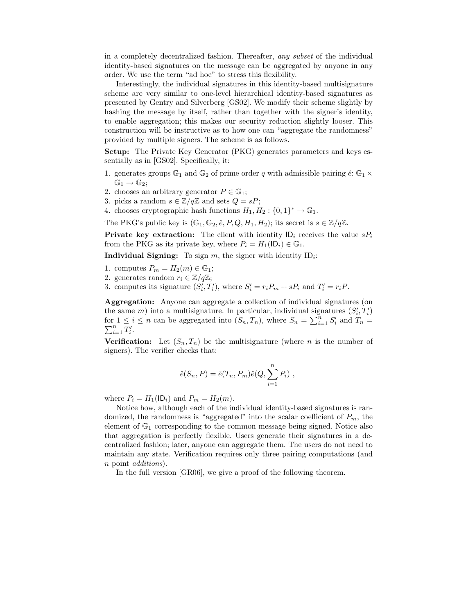in a completely decentralized fashion. Thereafter, any subset of the individual identity-based signatures on the message can be aggregated by anyone in any order. We use the term "ad hoc" to stress this flexibility.

Interestingly, the individual signatures in this identity-based multisignature scheme are very similar to one-level hierarchical identity-based signatures as presented by Gentry and Silverberg [GS02]. We modify their scheme slightly by hashing the message by itself, rather than together with the signer's identity, to enable aggregation; this makes our security reduction slightly looser. This construction will be instructive as to how one can "aggregate the randomness" provided by multiple signers. The scheme is as follows.

Setup: The Private Key Generator (PKG) generates parameters and keys essentially as in [GS02]. Specifically, it:

- 1. generates groups  $\mathbb{G}_1$  and  $\mathbb{G}_2$  of prime order q with admissible pairing  $\hat{e}: \mathbb{G}_1 \times$  $\mathbb{G}_1 \rightarrow \mathbb{G}_2;$
- 2. chooses an arbitrary generator  $P \in \mathbb{G}_1$ ;
- 3. picks a random  $s \in \mathbb{Z}/q\mathbb{Z}$  and sets  $Q = sP$ ;
- 4. chooses cryptographic hash functions  $H_1, H_2: \{0, 1\}^* \to \mathbb{G}_1$ .

The PKG's public key is  $(\mathbb{G}_1, \mathbb{G}_2, \hat{e}, P, Q, H_1, H_2)$ ; its secret is  $s \in \mathbb{Z}/q\mathbb{Z}$ .

**Private key extraction:** The client with identity  $|D_i|$  receives the value  $sP_i$ from the PKG as its private key, where  $P_i = H_1(|D_i) \in \mathbb{G}_1$ .

**Individual Signing:** To sign  $m$ , the signer with identity  $ID_i$ :

- 1. computes  $P_m = H_2(m) \in \mathbb{G}_1;$
- 2. generates random  $r_i \in \mathbb{Z}/q\mathbb{Z}$ ;
- 3. computes its signature  $(S'_i, T'_i)$ , where  $S'_i = r_i P_m + s P_i$  and  $T'_i = r_i P$ .

Aggregation: Anyone can aggregate a collection of individual signatures (on the same  $m$ ) into a multisignature. In particular, individual signatures  $(S'_i, T'_i)$ for  $1 \leq i \leq n$  can be aggregated into  $(S_n, T_n)$ , where  $S_n = \sum_{i=1}^n S'_i$  and  $T_n =$  $\sum_{i=1}^n T'_i$ .

**Verification:** Let  $(S_n, T_n)$  be the multisignature (where *n* is the number of signers). The verifier checks that:

$$
\hat{e}(S_n, P) = \hat{e}(T_n, P_m)\hat{e}(Q, \sum_{i=1}^n P_i) ,
$$

where  $P_i = H_1(|D_i|)$  and  $P_m = H_2(m)$ .

Notice how, although each of the individual identity-based signatures is randomized, the randomness is "aggregated" into the scalar coefficient of  $P_m$ , the element of  $\mathbb{G}_1$  corresponding to the common message being signed. Notice also that aggregation is perfectly flexible. Users generate their signatures in a decentralized fashion; later, anyone can aggregate them. The users do not need to maintain any state. Verification requires only three pairing computations (and n point additions).

In the full version [GR06], we give a proof of the following theorem.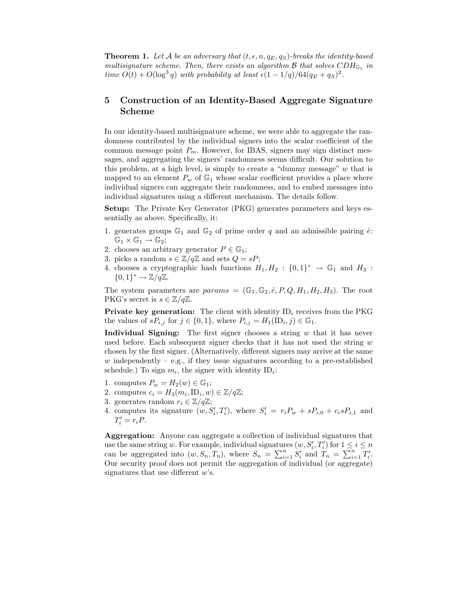**Theorem 1.** Let A be an adversary that  $(t, \epsilon, n, q_E, q_S)$ -breaks the identity-based multisignature scheme. Then, there exists an algorithm  $\mathcal B$  that solves  $CDH_{\mathbb{G}_1}$  in time  $O(t) + O(\log^3 q)$  with probability at least  $\epsilon (1 - 1/q)/64(q_E + q_S)^2$ .

# 5 Construction of an Identity-Based Aggregate Signature Scheme

In our identity-based multisignature scheme, we were able to aggregate the randomness contributed by the individual signers into the scalar coefficient of the common message point  $P_m$ . However, for IBAS, signers may sign distinct messages, and aggregating the signers' randomness seems difficult. Our solution to this problem, at a high level, is simply to create a "dummy message"  $w$  that is mapped to an element  $P_w$  of  $\mathbb{G}_1$  whose scalar coefficient provides a place where individual signers can aggregate their randomness, and to embed messages into individual signatures using a different mechanism. The details follow.

Setup: The Private Key Generator (PKG) generates parameters and keys essentially as above. Specifically, it:

- 1. generates groups  $\mathbb{G}_1$  and  $\mathbb{G}_2$  of prime order q and an admissible pairing  $\hat{e}$ .  $\mathbb{G}_1 \times \mathbb{G}_1 \to \mathbb{G}_2;$
- 2. chooses an arbitrary generator  $P \in \mathbb{G}_1$ ;
- 3. picks a random  $s \in \mathbb{Z}/q\mathbb{Z}$  and sets  $Q = sP$ ;
- 4. chooses a cryptographic hash functions  $H_1, H_2 : \{0,1\}^* \to \mathbb{G}_1$  and  $H_3$ :  ${0,1}^* \rightarrow \mathbb{Z}/q\mathbb{Z}.$

The system parameters are params =  $(\mathbb{G}_1, \mathbb{G}_2, \hat{e}, P, Q, H_1, H_2, H_3)$ . The root PKG's secret is  $s \in \mathbb{Z}/q\mathbb{Z}$ .

**Private key generation:** The client with identity  $ID_i$  receives from the PKG the values of  $sP_{i,j}$  for  $j \in \{0,1\}$ , where  $P_{i,j} = H_1(\mathbb{ID}_i, j) \in \mathbb{G}_1$ .

Individual Signing: The first signer chooses a string  $w$  that it has never used before. Each subsequent signer checks that it has not used the string  $w$ chosen by the first signer. (Alternatively, different signers may arrive at the same w independently – e.g., if they issue signatures according to a pre-established schedule.) To sign  $m_i$ , the signer with identity  $ID_i$ :

- 1. computes  $P_w = H_2(w) \in \mathbb{G}_1;$
- 2. computes  $c_i = H_3(m_i, \mathrm{ID}_i, w) \in \mathbb{Z}/q\mathbb{Z};$
- 3. generates random  $r_i \in \mathbb{Z}/q\mathbb{Z}$ ;
- 4. computes its signature  $(w, S'_i, T'_i)$ , where  $S'_i = r_i P_w + s P_{i,0} + c_i s P_{i,1}$  and  $T_i' = r_i P$ .

Aggregation: Anyone can aggregate a collection of individual signatures that use the same string w. For example, individual signatures  $(w, S'_i, T'_i)$  for  $1 \leq i \leq n$ can be aggregated into  $(w, S_n, T_n)$ , where  $S_n = \sum_{i=1}^n S'_i$  and  $T_n = \sum_{i=1}^n T'_i$ . Our security proof does not permit the aggregation of individual (or aggregate) signatures that use different  $w$ 's.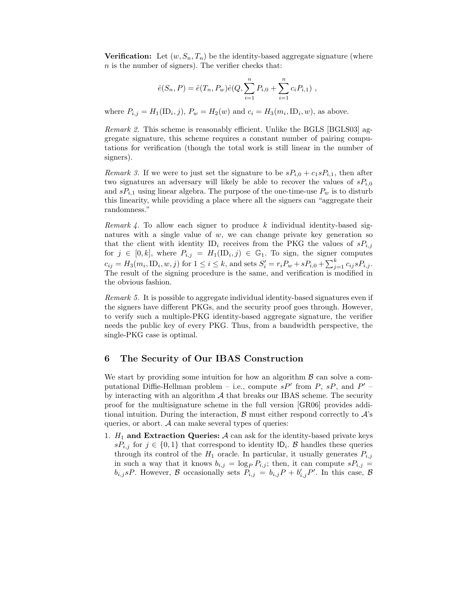**Verification:** Let  $(w, S_n, T_n)$  be the identity-based aggregate signature (where  $n$  is the number of signers). The verifier checks that:

$$
\hat{e}(S_n, P) = \hat{e}(T_n, P_w)\hat{e}(Q, \sum_{i=1}^n P_{i,0} + \sum_{i=1}^n c_i P_{i,1}),
$$

where  $P_{i,j} = H_1(ID_i, j)$ ,  $P_w = H_2(w)$  and  $c_i = H_3(m_i, ID_i, w)$ , as above.

Remark 2. This scheme is reasonably efficient. Unlike the BGLS [BGLS03] aggregate signature, this scheme requires a constant number of pairing computations for verification (though the total work is still linear in the number of signers).

Remark 3. If we were to just set the signature to be  $sP_{i,0} + c_1sP_{i,1}$ , then after two signatures an adversary will likely be able to recover the values of  $sP_{i,0}$ and  $sP_{i,1}$  using linear algebra. The purpose of the one-time-use  $P_w$  is to disturb this linearity, while providing a place where all the signers can "aggregate their randomness."

Remark 4. To allow each signer to produce  $k$  individual identity-based signatures with a single value of  $w$ , we can change private key generation so that the client with identity ID<sub>i</sub> receives from the PKG the values of  $sP_{i,j}$ for  $j \in [0, k]$ , where  $P_{i,j} = H_1(\mathbb{ID}_i, j) \in \mathbb{G}_1$ . To sign, the signer computes  $c_{ij} = H_3(m_i, \text{ID}_i, w, j)$  for  $1 \le i \le k$ , and sets  $S'_i = r_i P_w + s P_{i,0} + \sum_{j=1}^k c_{ij} s P_{i,j}$ . The result of the signing procedure is the same, and verification is modified in the obvious fashion.

Remark 5. It is possible to aggregate individual identity-based signatures even if the signers have different PKGs, and the security proof goes through. However, to verify such a multiple-PKG identity-based aggregate signature, the verifier needs the public key of every PKG. Thus, from a bandwidth perspective, the single-PKG case is optimal.

# 6 The Security of Our IBAS Construction

We start by providing some intuition for how an algorithm  $\beta$  can solve a computational Diffie-Hellman problem – i.e., compute  $sP'$  from P,  $sP$ , and P' – by interacting with an algorithm  $A$  that breaks our IBAS scheme. The security proof for the multisignature scheme in the full version [GR06] provides additional intuition. During the interaction,  $\beta$  must either respond correctly to  $\mathcal{A}$ 's queries, or abort.  $\mathcal A$  can make several types of queries:

1.  $H_1$  and Extraction Queries: A can ask for the identity-based private keys  $sP_{i,j}$  for  $j \in \{0,1\}$  that correspond to identity  $\mathsf{ID}_i$ . B handles these queries through its control of the  $H_1$  oracle. In particular, it usually generates  $P_{i,j}$ in such a way that it knows  $b_{i,j} = \log_P P_{i,j}$ ; then, it can compute  $sP_{i,j}$  =  $b_{i,j} sP$ . However,  $\beta$  occasionally sets  $P_{i,j} = b_{i,j}P + b'_{i,j}P'$ . In this case,  $\beta$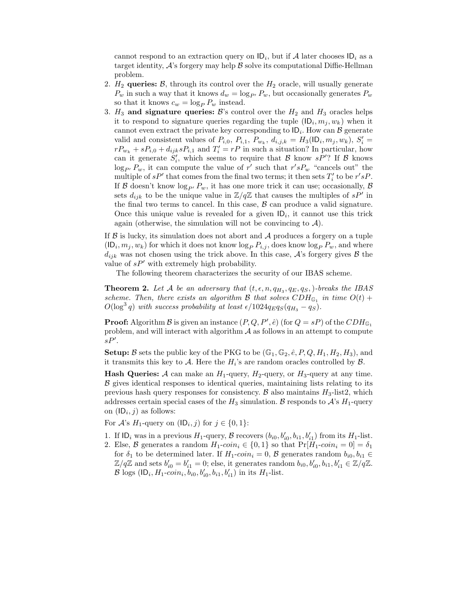cannot respond to an extraction query on  $\mathsf{ID}_i$ , but if A later chooses  $\mathsf{ID}_i$  as a target identity,  $\mathcal{A}$ 's forgery may help  $\mathcal{B}$  solve its computational Diffie-Hellman problem.

- 2.  $H_2$  queries:  $\beta$ , through its control over the  $H_2$  oracle, will usually generate  $P_w$  in such a way that it knows  $d_w = \log_{P'} P_w$ , but occasionally generates  $P_w$ so that it knows  $c_w = \log_P P_w$  instead.
- 3.  $H_3$  and signature queries:  $\mathcal{B}$ 's control over the  $H_2$  and  $H_3$  oracles helps it to respond to signature queries regarding the tuple  $(\mathsf{ID}_i, m_j, w_k)$  when it cannot even extract the private key corresponding to  $\mathsf{ID}_i$ . How can  $\mathcal B$  generate valid and consistent values of  $P_{i,0}$ ,  $P_{i,1}$ ,  $P_{w_k}$ ,  $d_{i,j,k} = H_3(\mathsf{ID}_i, m_j, w_k)$ ,  $S'_i$  $rP_{w_k} + sP_{i,0} + d_{ijk}sP_{i,1}$  and  $T'_i = rP$  in such a situation? In particular, how can it generate  $S_i'$ , which seems to require that  $\beta$  know  $sP'$ ? If  $\beta$  knows  $\log_{P'} P_w$ , it can compute the value of r' such that  $r'sP_w$  "cancels out" the multiple of  $sP'$  that comes from the final two terms; it then sets  $T'_i$  to be  $r'sP$ . If B doesn't know  $\log_{P'} P_w$ , it has one more trick it can use; occasionally, B sets  $d_{ijk}$  to be the unique value in  $\mathbb{Z}/q\mathbb{Z}$  that causes the multiples of  $sP'$  in the final two terms to cancel. In this case,  $\beta$  can produce a valid signature. Once this unique value is revealed for a given  $ID_i$ , it cannot use this trick again (otherwise, the simulation will not be convincing to  $A$ ).

If  $\beta$  is lucky, its simulation does not abort and  $\mathcal A$  produces a forgery on a tuple  $(\mathsf{ID}_i, m_j, w_k)$  for which it does not know  $\log_P P_{i,j}$ , does know  $\log_P P_w$ , and where  $d_{ijk}$  was not chosen using the trick above. In this case, A's forgery gives B the value of  $sP'$  with extremely high probability.

The following theorem characterizes the security of our IBAS scheme.

**Theorem 2.** Let A be an adversary that  $(t, \epsilon, n, q_{H_3}, q_E, q_S)$ -breaks the IBAS scheme. Then, there exists an algorithm  $\beta$  that solves  $CDH_{\mathbb{G}_1}$  in time  $O(t)$  +  $O(\log^3 q)$  with success probability at least  $\epsilon/1024q_Eq_S(q_{H_3}-q_S)$ .

**Proof:** Algorithm  $\mathcal{B}$  is given an instance  $(P, Q, P', \hat{e})$  (for  $Q = sP$ ) of the  $CDH_{\mathbb{G}_1}$ problem, and will interact with algorithm  $A$  as follows in an attempt to compute  $sP'$ .

**Setup:** B sets the public key of the PKG to be  $(\mathbb{G}_1, \mathbb{G}_2, \hat{e}, P, Q, H_1, H_2, H_3)$ , and it transmits this key to A. Here the  $H_i$ 's are random oracles controlled by  $\mathcal{B}$ .

**Hash Queries:** A can make an  $H_1$ -query,  $H_2$ -query, or  $H_3$ -query at any time.  $B$  gives identical responses to identical queries, maintaining lists relating to its previous hash query responses for consistency.  $\beta$  also maintains  $H_3$ -list2, which addresses certain special cases of the  $H_3$  simulation. B responds to  $\mathcal{A}$ 's  $H_1$ -query on  $(\mathsf{ID}_i, j)$  as follows:

For  $\mathcal{A}$ 's  $H_1$ -query on  $(\mathsf{ID}_i, j)$  for  $j \in \{0, 1\}$ :

- 1. If  $ID_i$  was in a previous  $H_1$ -query,  $\mathcal B$  recovers  $(b_{i0}, b'_{i0}, b_{i1}, b'_{i1})$  from its  $H_1$ -list.
- 2. Else, B generates a random  $H_1$ -coin<sub>i</sub>  $\in \{0,1\}$  so that  $Pr[H_1\text{-}coin_i = 0] = \delta_1$ for  $\delta_1$  to be determined later. If  $H_1$ -coin<sub>i</sub> = 0, B generates random  $b_{i0}, b_{i1} \in$  $\mathbb{Z}/q\mathbb{Z}$  and sets  $b'_{i0} = b'_{i1} = 0$ ; else, it generates random  $b_{i0}, b'_{i0}, b_{i1}, b'_{i1} \in \mathbb{Z}/q\mathbb{Z}$ .  $\mathcal{B}$  logs  $(\mathsf{ID}_i, H_1\text{-}\overline{\text{coin}}_i, b_{i0}, b'_{i0}, b_{i1}, b'_{i1})$  in its  $H_1$ -list.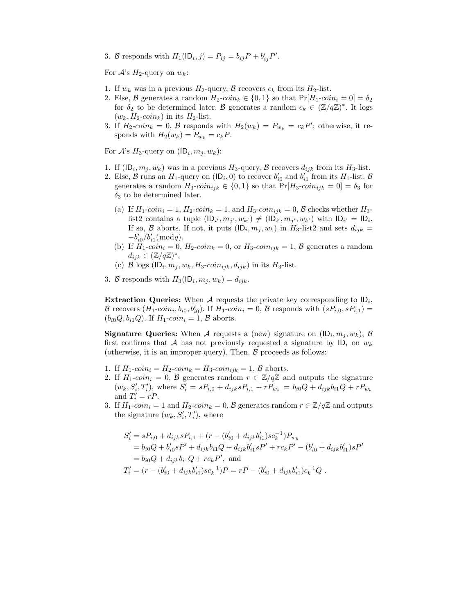3. B responds with  $H_1(\mathsf{ID}_i, j) = P_{ij} = b_{ij}P + b'_{ij}P'.$ 

For  $A$ 's  $H_2$ -query on  $w_k$ :

- 1. If  $w_k$  was in a previous  $H_2$ -query,  $\beta$  recovers  $c_k$  from its  $H_2$ -list.
- 2. Else, B generates a random  $H_2\text{-}coin_k \in \{0,1\}$  so that  $\Pr[H_1\text{-}coin_i = 0] = \delta_2$ for  $\delta_2$  to be determined later. B generates a random  $c_k \in (\mathbb{Z}/q\mathbb{Z})^*$ . It logs  $(w_k, H_2\text{-}coin_k)$  in its  $H_2$ -list.
- 3. If  $H_2\text{-}coin_k = 0$ ,  $\beta$  responds with  $H_2(w_k) = P_{w_k} = c_k P'$ ; otherwise, it responds with  $H_2(w_k) = P_{w_k} = c_k P$ .

For  $A$ 's  $H_3$ -query on  $(\mathsf{ID}_i, m_j, w_k)$ :

- 1. If  $(\mathsf{ID}_i, m_j, w_k)$  was in a previous  $H_3$ -query,  $\mathcal B$  recovers  $d_{ijk}$  from its  $H_3$ -list.
- 2. Else,  $\beta$  runs an  $H_1$ -query on  $\mathcal{(ID}_i, 0)$  to recover  $b'_{i0}$  and  $b'_{i1}$  from its  $H_1$ -list.  $\beta$ generates a random  $H_3\text{-}coin_{ijk} \in \{0, 1\}$  so that  $\Pr[H_3\text{-}coin_{ijk} = 0] = \delta_3$  for  $\delta_3$  to be determined later.
	- (a) If  $H_1$ -coin<sub>i</sub> = 1,  $H_2$ -coin<sub>k</sub> = 1, and  $H_3$ -coin<sub>ijk</sub> = 0,  $\beta$  checks whether  $H_3$ list2 contains a tuple  $(\mathsf{ID}_{i'}, m_{j'}, w_{k'}) \neq (\mathsf{ID}_{i'}, m_{j'}, w_{k'})$  with  $\mathsf{ID}_{i'} = \mathsf{ID}_{i}$ . If so, B aborts. If not, it puts  $(\mathsf{ID}_i, m_j, w_k)$  in  $H_3$ -list2 and sets  $d_{ijk} =$  $-b'_{i0}/b'_{i1} \pmod{q}.$
	- (b) If  $H_1$ -coin<sub>i</sub> = 0,  $H_2$ -coin<sub>k</sub> = 0, or  $H_3$ -coin<sub>ijk</sub> = 1,  $\beta$  generates a random  $d_{ijk} \in (\mathbb{Z}/q\mathbb{Z})^*$ .
	- (c)  $\beta$  logs  $(\mathsf{ID}_i, m_j, w_k, H_3\text{-}coin_{ijk}, d_{ijk})$  in its  $H_3\text{-}list.$
- 3. B responds with  $H_3(\mathsf{ID}_i, m_j, w_k) = d_{ijk}$ .

**Extraction Queries:** When A requests the private key corresponding to  $ID_i$ ,  $\mathcal B$  recovers  $(H_1 \text{-} coin_i, b_{i0}, b'_{i0})$ . If  $H_1 \text{-} coin_i = 0$ ,  $\mathcal B$  responds with  $(sP_{i,0}, sP_{i,1}) =$  $(b_{i0}Q, b_{i1}Q)$ . If  $H_1$ -coi $n_i = 1$ ,  $\beta$  aborts.

**Signature Queries:** When A requests a (new) signature on  $(\mathsf{ID}_i, m_j, w_k)$ , B first confirms that A has not previously requested a signature by  $\mathsf{ID}_i$  on  $w_k$ (otherwise, it is an improper query). Then,  $\beta$  proceeds as follows:

- 1. If  $H_1$ -coin<sub>i</sub> =  $H_2$ -coin<sub>k</sub> =  $H_3$ -coin<sub>ijk</sub> = 1,  $\beta$  aborts.
- 2. If  $H_1\text{-}coin_i = 0$ , B generates random  $r \in \mathbb{Z}/q\mathbb{Z}$  and outputs the signature  $(w_k, S'_i, T'_i)$ , where  $S'_i = sP_{i,0} + d_{ijk}sP_{i,1} + rP_{w_k} = b_{i0}Q + d_{ijk}b_{i1}Q + rP_{w_k}$ and  $T'_i = rP$ .
- 3. If  $H_1$ -coin<sub>i</sub> = 1 and  $H_2$ -coin<sub>k</sub> = 0, B generates random  $r \in \mathbb{Z}/q\mathbb{Z}$  and outputs the signature  $(w_k, S'_i, T'_i)$ , where

$$
S'_{i} = sP_{i,0} + d_{ijk}sP_{i,1} + (r - (b'_{i0} + d_{ijk}b'_{i1})sc_{k}^{-1})P_{w_{k}}
$$
  
=  $b_{i0}Q + b'_{i0}sP' + d_{ijk}b_{i1}Q + d_{ijk}b'_{i1}sP' + rc_{k}P' - (b'_{i0} + d_{ijk}b'_{i1})sP'$   
=  $b_{i0}Q + d_{ijk}b_{i1}Q + rc_{k}P'$ , and  
 $T'_{i} = (r - (b'_{i0} + d_{ijk}b'_{i1})sc_{k}^{-1})P = rP - (b'_{i0} + d_{ijk}b'_{i1})c_{k}^{-1}Q$ .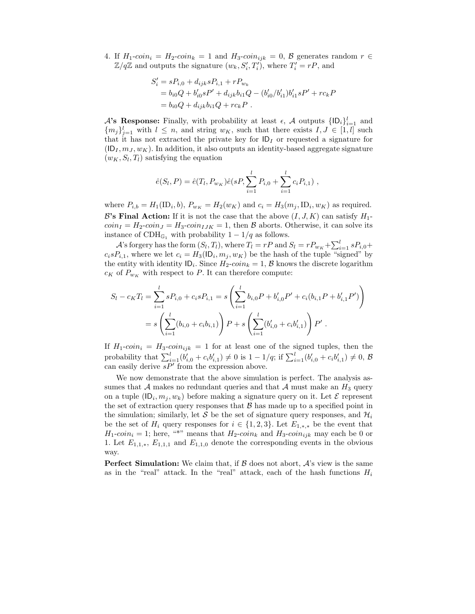4. If  $H_1$ -coin<sub>i</sub> =  $H_2$ -coin<sub>k</sub> = 1 and  $H_3$ -coin<sub>ijk</sub> = 0,  $\beta$  generates random  $r \in$  $\mathbb{Z}/q\mathbb{Z}$  and outputs the signature  $(w_k, S'_i, T'_i)$ , where  $T'_i = rP$ , and

$$
S'_{i} = sP_{i,0} + d_{ijk}sP_{i,1} + rP_{w_{k}}
$$
  
=  $b_{i0}Q + b'_{i0}sP' + d_{ijk}b_{i1}Q - (b'_{i0}/b'_{i1})b'_{i1}sP' + rc_{k}P$   
=  $b_{i0}Q + d_{ijk}b_{i1}Q + rc_{k}P$ .

A's Response: Finally, with probability at least  $\epsilon$ , A outputs  $\{|\mathsf{D}_i\}_{i=1}^l$  and  ${m_j}_{j=1}^l$  with  $l \leq n$ , and string  $w_K$ , such that there exists  $I, J \in [1, l]$  such that it has not extracted the private key for  $ID<sub>I</sub>$  or requested a signature for  $(ID_I, m_J, w_K)$ . In addition, it also outputs an identity-based aggregate signature  $(w_K, S_l, T_l)$  satisfying the equation

$$
\hat{e}(S_l, P) = \hat{e}(T_l, P_{w_K})\hat{e}(sP, \sum_{i=1}^l P_{i,0} + \sum_{i=1}^l c_i P_{i,1}),
$$

where  $P_{i,b} = H_1(ID_i, b)$ ,  $P_{w_K} = H_2(w_K)$  and  $c_i = H_3(m_j, ID_i, w_K)$  as required. B's Final Action: If it is not the case that the above  $(I, J, K)$  can satisfy  $H_1$  $coin_I = H_2\text{-}coin_J = H_3\text{-}coin_{IJK} = 1$ , then B aborts. Otherwise, it can solve its instance of  $CDH_{\mathbb{G}_1}$  with probability  $1 - 1/q$  as follows.

A's forgery has the form  $(S_l, T_l)$ , where  $T_l = rP$  and  $S_l = rP_{w_K} + \sum_{i=1}^l sP_{i,0} +$  $c_i s P_{i,1}$ , where we let  $c_i = H_3(\mathsf{ID}_i, m_j, w_K)$  be the hash of the tuple "signed" by the entity with identity  $ID_i$ . Since  $H_2\text{-}coin_k = 1$ ,  $\beta$  knows the discrete logarithm  $c_K$  of  $P_{w_K}$  with respect to P. It can therefore compute:

$$
S_l - c_K T_l = \sum_{i=1}^l sP_{i,0} + c_i sP_{i,1} = s \left( \sum_{i=1}^l b_{i,0} P + b'_{i,0} P' + c_i (b_{i,1} P + b'_{i,1} P') \right)
$$
  
=  $s \left( \sum_{i=1}^l (b_{i,0} + c_i b_{i,1}) \right) P + s \left( \sum_{i=1}^l (b'_{i,0} + c_i b'_{i,1}) \right) P'.$ 

If  $H_1\text{-}coin_i = H_3\text{-}coin_{ijk} = 1$  for at least one of the signed tuples, then the probability that  $\sum_{i=1}^{l} (b'_{i,0} + c_i b'_{i,1}) \neq 0$  is  $1 - 1/q$ ; if  $\sum_{i=1}^{l} (b'_{i,0} + c_i b'_{i,1}) \neq 0$ ,  $\beta$ can easily derive  $sP'$  from the expression above.

We now demonstrate that the above simulation is perfect. The analysis assumes that  $A$  makes no redundant queries and that  $A$  must make an  $H_3$  query on a tuple  $(\mathsf{ID}_i, m_j, w_k)$  before making a signature query on it. Let  $\mathcal E$  represent the set of extraction query responses that  $\beta$  has made up to a specified point in the simulation; similarly, let S be the set of signature query responses, and  $\mathcal{H}_i$ be the set of  $H_i$  query responses for  $i \in \{1,2,3\}$ . Let  $E_{1,*,*}$  be the event that  $H_1\text{-}coin_i = 1$ ; here, "\*" means that  $H_2\text{-}coin_k$  and  $H_3\text{-}coin_{ijk}$  may each be 0 or 1. Let  $E_{1,1,*}, E_{1,1,1}$  and  $E_{1,1,0}$  denote the corresponding events in the obvious way.

**Perfect Simulation:** We claim that, if  $\beta$  does not abort,  $\mathcal{A}$ 's view is the same as in the "real" attack. In the "real" attack, each of the hash functions  $H_i$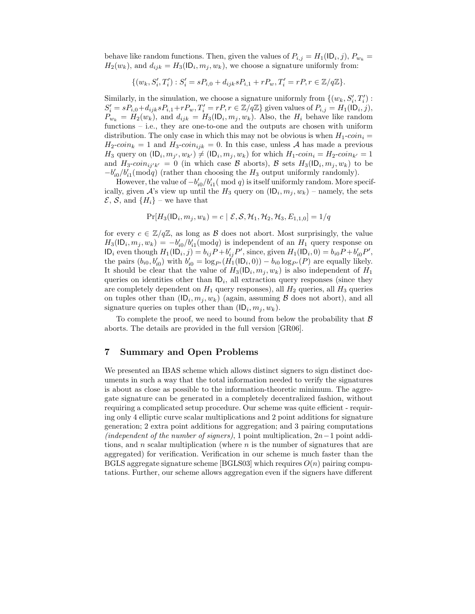behave like random functions. Then, given the values of  $P_{i,j} = H_1(\mathsf{ID}_i, j)$ ,  $P_{w_k} =$  $H_2(w_k)$ , and  $d_{ijk} = H_3(\mathsf{ID}_i, m_j, w_k)$ , we choose a signature uniformly from:

 $\{(w_k, S'_i, T'_i) : S'_i = sP_{i,0} + d_{ijk}sP_{i,1} + rP_w, T'_i = rP, r \in \mathbb{Z}/q\mathbb{Z}\}.$ 

Similarly, in the simulation, we choose a signature uniformly from  $\{(w_k, S'_i, T'_i):$  $S_i' = sP_{i,0} + d_{ijk}sP_{i,1} + rP_w$ ,  $T_i' = rP, r \in \mathbb{Z}/q\mathbb{Z}$  given values of  $P_{i,j} = H_1(\mathsf{ID}_i, j)$ ,  $P_{w_k} = H_2(w_k)$ , and  $d_{ijk} = H_3(\mathsf{ID}_i, m_j, w_k)$ . Also, the  $H_i$  behave like random functions – i.e., they are one-to-one and the outputs are chosen with uniform distribution. The only case in which this may not be obvious is when  $H_1$ -coin<sub>i</sub> =  $H_2\text{-}coin_k = 1$  and  $H_3\text{-}coin_{ijk} = 0$ . In this case, unless A has made a previous  $H_3$  query on  $(\mathsf{ID}_i, m_{j'}, w_{k'}) \neq (\mathsf{ID}_i, m_j, w_k)$  for which  $H_1\text{-}coin_i = H_2\text{-}coin_{k'} = 1$ and  $H_3\text{-}coin_{ij'k'} = 0$  (in which case  $\mathcal B$  aborts),  $\mathcal B$  sets  $H_3(\mathsf{ID}_i, m_j, w_k)$  to be  $-b'_{i0}/b'_{i1}(\bmod q)$  (rather than choosing the  $H_3$  output uniformly randomly).

However, the value of  $-b'_{i0}/b'_{i1}$  (mod q) is itself uniformly random. More specifically, given  $A$ 's view up until the  $H_3$  query on  $(\mathsf{ID}_i, m_j, w_k)$  – namely, the sets  $\mathcal{E}, \mathcal{S}, \text{ and } \{H_i\}$  – we have that

$$
Pr[H_3(\mathsf{ID}_i, m_j, w_k) = c \mid \mathcal{E}, \mathcal{S}, \mathcal{H}_1, \mathcal{H}_2, \mathcal{H}_3, E_{1,1,0}] = 1/q
$$

for every  $c \in \mathbb{Z}/q\mathbb{Z}$ , as long as  $\beta$  does not abort. Most surprisingly, the value  $H_3(\mathsf{ID}_i, m_j, w_k) = -b'_{i0}/b'_{i1}(\bmod q)$  is independent of an  $H_1$  query response on  $ID_i$  even though  $H_1(ID_i, j) = b_{ij}P + b'_{ij}P'$ , since, given  $H_1(ID_i, 0) = b_{i0}P + b'_{i0}P'$ , the pairs  $(b_{i0}, b'_{i0})$  with  $b'_{i0} = \log_{P'}(\tilde{H}_1(\mathsf{ID}_i, 0)) - b_{i0} \log_{P'}(P)$  are equally likely. It should be clear that the value of  $H_3(\mathsf{ID}_i, m_j, w_k)$  is also independent of  $H_1$ queries on identities other than  $ID_i$ , all extraction query responses (since they are completely dependent on  $H_1$  query responses), all  $H_2$  queries, all  $H_3$  queries on tuples other than  $(\mathsf{ID}_i, m_j, w_k)$  (again, assuming  $\mathcal B$  does not abort), and all signature queries on tuples other than  $(\mathsf{ID}_i, m_j, w_k)$ .

To complete the proof, we need to bound from below the probability that  $\beta$ aborts. The details are provided in the full version [GR06].

## 7 Summary and Open Problems

We presented an IBAS scheme which allows distinct signers to sign distinct documents in such a way that the total information needed to verify the signatures is about as close as possible to the information-theoretic minimum. The aggregate signature can be generated in a completely decentralized fashion, without requiring a complicated setup procedure. Our scheme was quite efficient - requiring only 4 elliptic curve scalar multiplications and 2 point additions for signature generation; 2 extra point additions for aggregation; and 3 pairing computations (independent of the number of signers), 1 point multiplication,  $2n-1$  point additions, and n scalar multiplication (where  $n$  is the number of signatures that are aggregated) for verification. Verification in our scheme is much faster than the BGLS aggregate signature scheme [BGLS03] which requires  $O(n)$  pairing computations. Further, our scheme allows aggregation even if the signers have different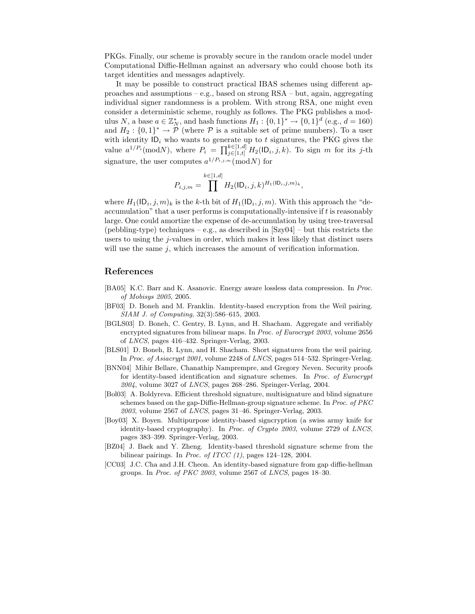PKGs. Finally, our scheme is provably secure in the random oracle model under Computational Diffie-Hellman against an adversary who could choose both its target identities and messages adaptively.

It may be possible to construct practical IBAS schemes using different approaches and assumptions – e.g., based on strong RSA – but, again, aggregating individual signer randomness is a problem. With strong RSA, one might even consider a deterministic scheme, roughly as follows. The PKG publishes a modulus N, a base  $a \in \mathbb{Z}_N^*$ , and hash functions  $H_1: \{0,1\}^* \to \{0,1\}^d$  (e.g.,  $d = 160$ ) and  $H_2: \{0,1\}^* \to \mathcal{P}$  (where  $\mathcal P$  is a suitable set of prime numbers). To a user with identity  $ID_i$  who wants to generate up to t signatures, the PKG gives the value  $a^{1/P_i}(\text{mod}N)$ , where  $P_i = \prod_{j\in[1,t]}^{k\in[1,d]} H_2(\text{ID}_i,j,k)$ . To sign m for its j-th signature, the user computes  $a^{1/P_{i,j,m}}(\bmod N)$  for

$$
P_{i,j,m} = \prod^{k \in [1,d]} H_2(\mathsf{ID}_i, j, k)^{H_1(\mathsf{ID}_i, j, m)_k},
$$

where  $H_1(\mathsf{ID}_i, j, m)_k$  is the k-th bit of  $H_1(\mathsf{ID}_i, j, m)$ . With this approach the "deaccumulation" that a user performs is computationally-intensive if  $t$  is reasonably large. One could amortize the expense of de-accumulation by using tree-traversal (pebbling-type) techniques – e.g., as described in  $[Szy04]$  – but this restricts the users to using the j-values in order, which makes it less likely that distinct users will use the same  $j$ , which increases the amount of verification information.

### References

- [BA05] K.C. Barr and K. Asanovic. Energy aware lossless data compression. In Proc. of Mobisys 2005, 2005.
- [BF03] D. Boneh and M. Franklin. Identity-based encryption from the Weil pairing. SIAM J. of Computing, 32(3):586–615, 2003.
- [BGLS03] D. Boneh, C. Gentry, B. Lynn, and H. Shacham. Aggregate and verifiably encrypted signatures from bilinear maps. In Proc. of Eurocrypt 2003, volume 2656 of LNCS, pages 416–432. Springer-Verlag, 2003.
- [BLS01] D. Boneh, B. Lynn, and H. Shacham. Short signatures from the weil pairing. In Proc. of Asiacrypt 2001, volume 2248 of LNCS, pages 514–532. Springer-Verlag.
- [BNN04] Mihir Bellare, Chanathip Namprempre, and Gregory Neven. Security proofs for identity-based identification and signature schemes. In Proc. of Eurocrypt 2004, volume 3027 of LNCS, pages 268–286. Springer-Verlag, 2004.
- [Bol03] A. Boldyreva. Efficient threshold signature, multisignature and blind signature schemes based on the gap-Diffie-Hellman-group signature scheme. In *Proc. of PKC*  $2003$ , volume 2567 of *LNCS*, pages 31–46. Springer-Verlag, 2003.
- [Boy03] X. Boyen. Multipurpose identity-based signcryption (a swiss army knife for identity-based cryptography). In Proc. of Crypto 2003, volume 2729 of LNCS, pages 383–399. Springer-Verlag, 2003.
- [BZ04] J. Baek and Y. Zheng. Identity-based threshold signature scheme from the bilinear pairings. In *Proc. of ITCC*  $(1)$ , pages 124–128, 2004.
- [CC03] J.C. Cha and J.H. Cheon. An identity-based signature from gap diffie-hellman groups. In Proc. of PKC 2003, volume 2567 of LNCS, pages 18–30.